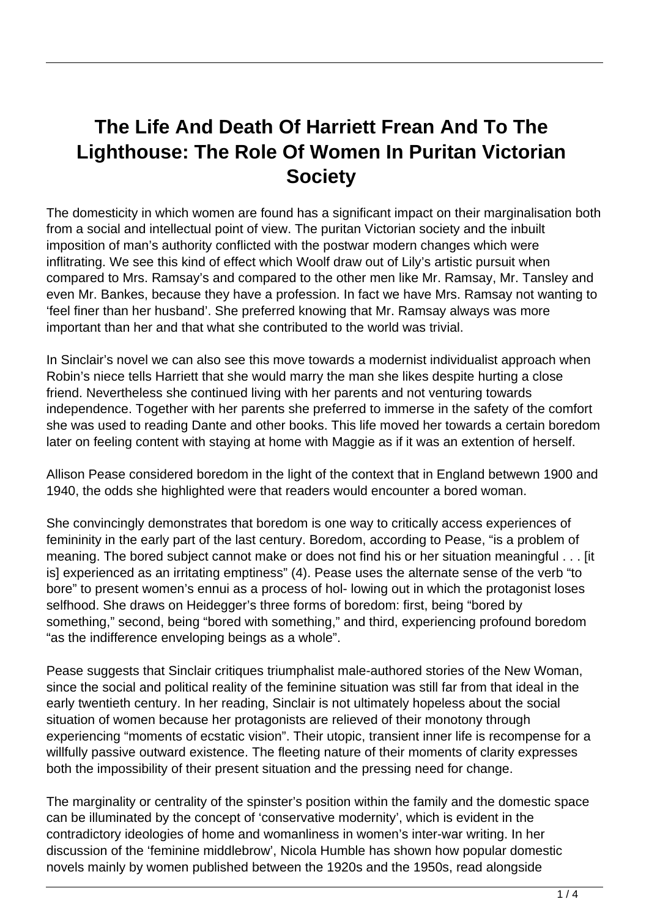## **The Life And Death Of Harriett Frean And To The Lighthouse: The Role Of Women In Puritan Victorian Society**

The domesticity in which women are found has a significant impact on their marginalisation both from a social and intellectual point of view. The puritan Victorian society and the inbuilt imposition of man's authority conflicted with the postwar modern changes which were inflitrating. We see this kind of effect which Woolf draw out of Lily's artistic pursuit when compared to Mrs. Ramsay's and compared to the other men like Mr. Ramsay, Mr. Tansley and even Mr. Bankes, because they have a profession. In fact we have Mrs. Ramsay not wanting to 'feel finer than her husband'. She preferred knowing that Mr. Ramsay always was more important than her and that what she contributed to the world was trivial.

In Sinclair's novel we can also see this move towards a modernist individualist approach when Robin's niece tells Harriett that she would marry the man she likes despite hurting a close friend. Nevertheless she continued living with her parents and not venturing towards independence. Together with her parents she preferred to immerse in the safety of the comfort she was used to reading Dante and other books. This life moved her towards a certain boredom later on feeling content with staying at home with Maggie as if it was an extention of herself.

Allison Pease considered boredom in the light of the context that in England betwewn 1900 and 1940, the odds she highlighted were that readers would encounter a bored woman.

She convincingly demonstrates that boredom is one way to critically access experiences of femininity in the early part of the last century. Boredom, according to Pease, "is a problem of meaning. The bored subject cannot make or does not find his or her situation meaningful . . . [it is] experienced as an irritating emptiness" (4). Pease uses the alternate sense of the verb "to bore" to present women's ennui as a process of hol- lowing out in which the protagonist loses selfhood. She draws on Heidegger's three forms of boredom: first, being "bored by something," second, being "bored with something," and third, experiencing profound boredom "as the indifference enveloping beings as a whole".

Pease suggests that Sinclair critiques triumphalist male-authored stories of the New Woman, since the social and political reality of the feminine situation was still far from that ideal in the early twentieth century. In her reading, Sinclair is not ultimately hopeless about the social situation of women because her protagonists are relieved of their monotony through experiencing "moments of ecstatic vision". Their utopic, transient inner life is recompense for a willfully passive outward existence. The fleeting nature of their moments of clarity expresses both the impossibility of their present situation and the pressing need for change.

The marginality or centrality of the spinster's position within the family and the domestic space can be illuminated by the concept of 'conservative modernity', which is evident in the contradictory ideologies of home and womanliness in women's inter-war writing. In her discussion of the 'feminine middlebrow', Nicola Humble has shown how popular domestic novels mainly by women published between the 1920s and the 1950s, read alongside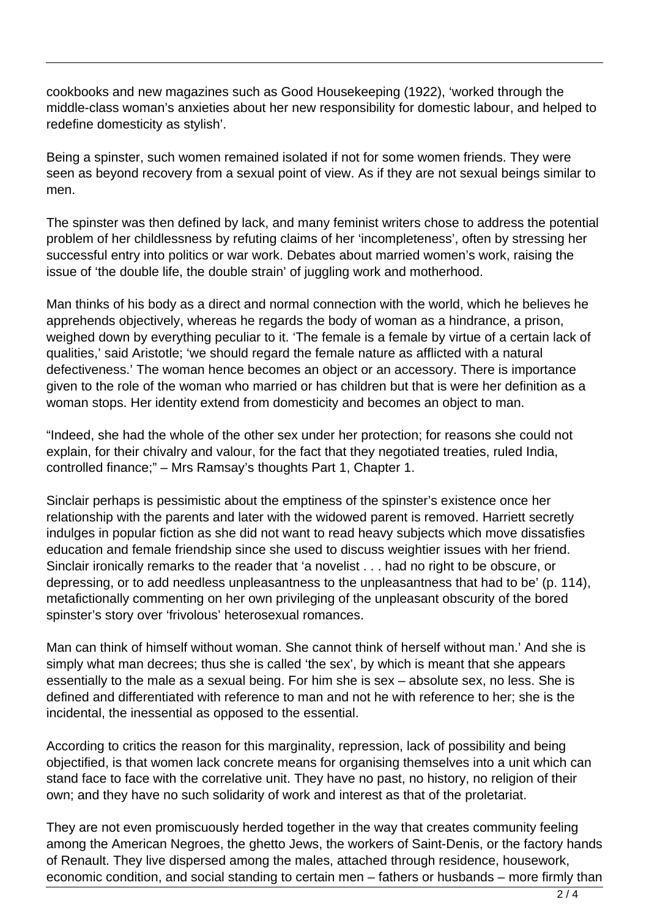cookbooks and new magazines such as Good Housekeeping (1922), 'worked through the middle-class woman's anxieties about her new responsibility for domestic labour, and helped to redefine domesticity as stylish'.

Being a spinster, such women remained isolated if not for some women friends. They were seen as beyond recovery from a sexual point of view. As if they are not sexual beings similar to men.

The spinster was then defined by lack, and many feminist writers chose to address the potential problem of her childlessness by refuting claims of her 'incompleteness', often by stressing her successful entry into politics or war work. Debates about married women's work, raising the issue of 'the double life, the double strain' of juggling work and motherhood.

Man thinks of his body as a direct and normal connection with the world, which he believes he apprehends objectively, whereas he regards the body of woman as a hindrance, a prison, weighed down by everything peculiar to it. 'The female is a female by virtue of a certain lack of qualities,' said Aristotle; 'we should regard the female nature as afflicted with a natural defectiveness.' The woman hence becomes an object or an accessory. There is importance given to the role of the woman who married or has children but that is were her definition as a woman stops. Her identity extend from domesticity and becomes an object to man.

"Indeed, she had the whole of the other sex under her protection; for reasons she could not explain, for their chivalry and valour, for the fact that they negotiated treaties, ruled India, controlled finance;" – Mrs Ramsay's thoughts Part 1, Chapter 1.

Sinclair perhaps is pessimistic about the emptiness of the spinster's existence once her relationship with the parents and later with the widowed parent is removed. Harriett secretly indulges in popular fiction as she did not want to read heavy subjects which move dissatisfies education and female friendship since she used to discuss weightier issues with her friend. Sinclair ironically remarks to the reader that 'a novelist . . . had no right to be obscure, or depressing, or to add needless unpleasantness to the unpleasantness that had to be' (p. 114), metafictionally commenting on her own privileging of the unpleasant obscurity of the bored spinster's story over 'frivolous' heterosexual romances.

Man can think of himself without woman. She cannot think of herself without man.' And she is simply what man decrees; thus she is called 'the sex', by which is meant that she appears essentially to the male as a sexual being. For him she is sex – absolute sex, no less. She is defined and differentiated with reference to man and not he with reference to her; she is the incidental, the inessential as opposed to the essential.

According to critics the reason for this marginality, repression, lack of possibility and being objectified, is that women lack concrete means for organising themselves into a unit which can stand face to face with the correlative unit. They have no past, no history, no religion of their own; and they have no such solidarity of work and interest as that of the proletariat.

They are not even promiscuously herded together in the way that creates community feeling among the American Negroes, the ghetto Jews, the workers of Saint-Denis, or the factory hands of Renault. They live dispersed among the males, attached through residence, housework, economic condition, and social standing to certain men – fathers or husbands – more firmly than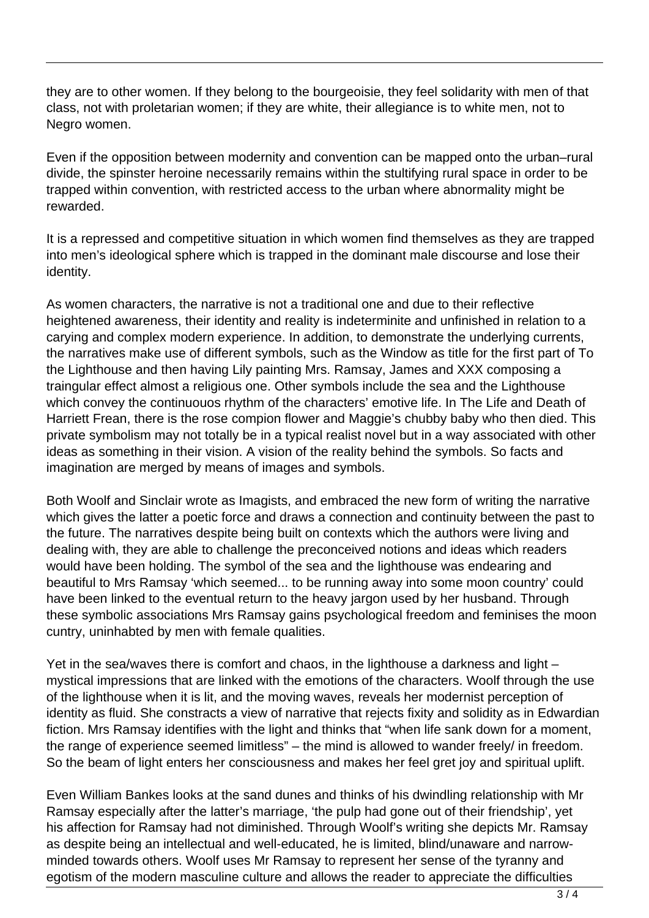they are to other women. If they belong to the bourgeoisie, they feel solidarity with men of that class, not with proletarian women; if they are white, their allegiance is to white men, not to Negro women.

Even if the opposition between modernity and convention can be mapped onto the urban–rural divide, the spinster heroine necessarily remains within the stultifying rural space in order to be trapped within convention, with restricted access to the urban where abnormality might be rewarded.

It is a repressed and competitive situation in which women find themselves as they are trapped into men's ideological sphere which is trapped in the dominant male discourse and lose their identity.

As women characters, the narrative is not a traditional one and due to their reflective heightened awareness, their identity and reality is indeterminite and unfinished in relation to a carying and complex modern experience. In addition, to demonstrate the underlying currents, the narratives make use of different symbols, such as the Window as title for the first part of To the Lighthouse and then having Lily painting Mrs. Ramsay, James and XXX composing a traingular effect almost a religious one. Other symbols include the sea and the Lighthouse which convey the continuouos rhythm of the characters' emotive life. In The Life and Death of Harriett Frean, there is the rose compion flower and Maggie's chubby baby who then died. This private symbolism may not totally be in a typical realist novel but in a way associated with other ideas as something in their vision. A vision of the reality behind the symbols. So facts and imagination are merged by means of images and symbols.

Both Woolf and Sinclair wrote as Imagists, and embraced the new form of writing the narrative which gives the latter a poetic force and draws a connection and continuity between the past to the future. The narratives despite being built on contexts which the authors were living and dealing with, they are able to challenge the preconceived notions and ideas which readers would have been holding. The symbol of the sea and the lighthouse was endearing and beautiful to Mrs Ramsay 'which seemed... to be running away into some moon country' could have been linked to the eventual return to the heavy jargon used by her husband. Through these symbolic associations Mrs Ramsay gains psychological freedom and feminises the moon cuntry, uninhabted by men with female qualities.

Yet in the sea/waves there is comfort and chaos, in the lighthouse a darkness and light – mystical impressions that are linked with the emotions of the characters. Woolf through the use of the lighthouse when it is lit, and the moving waves, reveals her modernist perception of identity as fluid. She constracts a view of narrative that rejects fixity and solidity as in Edwardian fiction. Mrs Ramsay identifies with the light and thinks that "when life sank down for a moment, the range of experience seemed limitless" – the mind is allowed to wander freely/ in freedom. So the beam of light enters her consciousness and makes her feel gret joy and spiritual uplift.

Even William Bankes looks at the sand dunes and thinks of his dwindling relationship with Mr Ramsay especially after the latter's marriage, 'the pulp had gone out of their friendship', yet his affection for Ramsay had not diminished. Through Woolf's writing she depicts Mr. Ramsay as despite being an intellectual and well-educated, he is limited, blind/unaware and narrowminded towards others. Woolf uses Mr Ramsay to represent her sense of the tyranny and egotism of the modern masculine culture and allows the reader to appreciate the difficulties